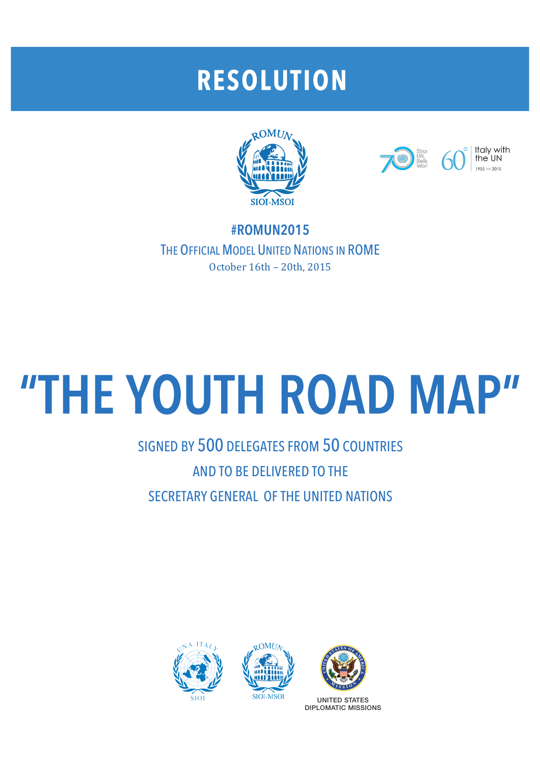## **RESOLUTION**





Italy with the UN  $1055 \times 2015$ 

**#ROMUN2015** THE OFFICIAL MODEL UNITED NATIONS IN ROME October 16th - 20th, 2015

# **"THE YOUTH ROAD MAP"**

### SIGNED BY 500 DELEGATES FROM 50 COUNTRIES AND TO BE DELIVERED TO THE SECRETARY GENERAL OF THE UNITED NATIONS







UNITED STATES DIPLOMATIC MISSIONS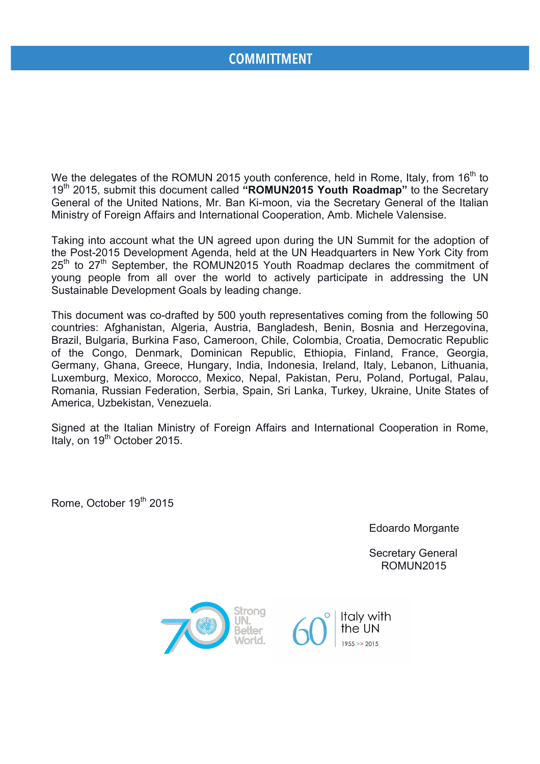#### **COMMITTMENT**

We the delegates of the ROMUN 2015 youth conference, held in Rome, Italy, from 16<sup>th</sup> to 19th 2015, submit this document called **"ROMUN2015 Youth Roadmap"** to the Secretary General of the United Nations, Mr. Ban Ki-moon, via the Secretary General of the Italian Ministry of Foreign Affairs and International Cooperation, Amb. Michele Valensise.

Taking into account what the UN agreed upon during the UN Summit for the adoption of the Post-2015 Development Agenda, held at the UN Headquarters in New York City from 25<sup>th</sup> to 27<sup>th</sup> September, the ROMUN2015 Youth Roadmap declares the commitment of young people from all over the world to actively participate in addressing the UN Sustainable Development Goals by leading change.

This document was co-drafted by 500 youth representatives coming from the following 50 countries: Afghanistan, Algeria, Austria, Bangladesh, Benin, Bosnia and Herzegovina, Brazil, Bulgaria, Burkina Faso, Cameroon, Chile, Colombia, Croatia, Democratic Republic of the Congo, Denmark, Dominican Republic, Ethiopia, Finland, France, Georgia, Germany, Ghana, Greece, Hungary, India, Indonesia, Ireland, Italy, Lebanon, Lithuania, Luxemburg, Mexico, Morocco, Mexico, Nepal, Pakistan, Peru, Poland, Portugal, Palau, Romania, Russian Federation, Serbia, Spain, Sri Lanka, Turkey, Ukraine, Unite States of America, Uzbekistan, Venezuela.

Signed at the Italian Ministry of Foreign Affairs and International Cooperation in Rome, Italy, on 19<sup>th</sup> October 2015.

Rome, October 19<sup>th</sup> 2015

Edoardo Morgante

 Secretary General ROMUN2015

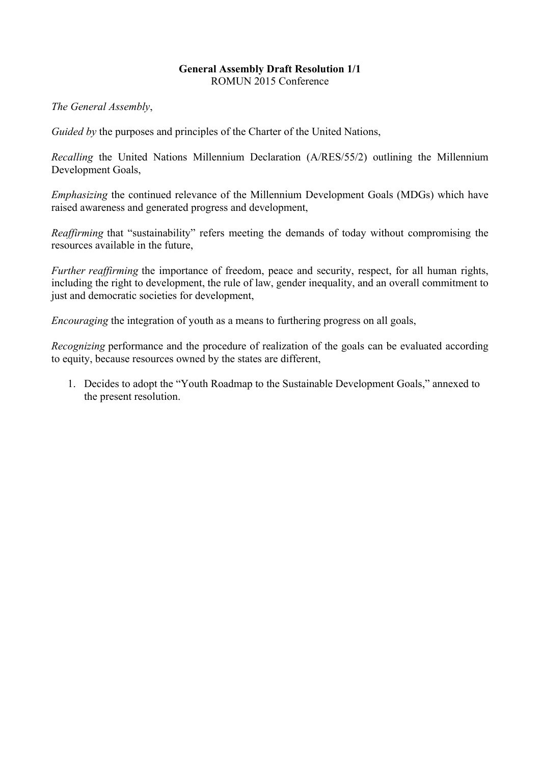#### **General Assembly Draft Resolution 1/1** ROMUN 2015 Conference

*The General Assembly*,

*Guided by* the purposes and principles of the Charter of the United Nations,

*Recalling* the United Nations Millennium Declaration (A/RES/55/2) outlining the Millennium Development Goals,

*Emphasizing* the continued relevance of the Millennium Development Goals (MDGs) which have raised awareness and generated progress and development,

*Reaffirming* that "sustainability" refers meeting the demands of today without compromising the resources available in the future,

*Further reaffirming* the importance of freedom, peace and security, respect, for all human rights, including the right to development, the rule of law, gender inequality, and an overall commitment to just and democratic societies for development,

*Encouraging* the integration of youth as a means to furthering progress on all goals,

*Recognizing performance and the procedure of realization of the goals can be evaluated according* to equity, because resources owned by the states are different,

1. Decides to adopt the "Youth Roadmap to the Sustainable Development Goals," annexed to the present resolution.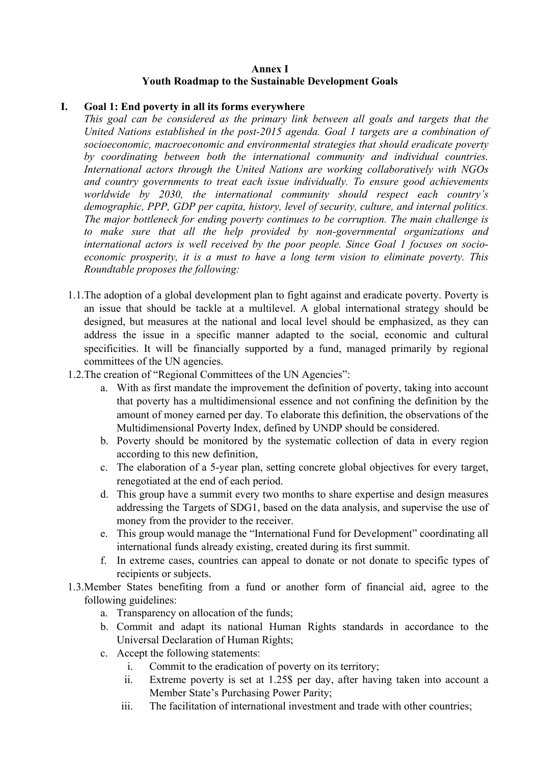#### **Annex I Youth Roadmap to the Sustainable Development Goals**

#### **I. Goal 1: End poverty in all its forms everywhere**

*This goal can be considered as the primary link between all goals and targets that the United Nations established in the post-2015 agenda. Goal 1 targets are a combination of socioeconomic, macroeconomic and environmental strategies that should eradicate poverty by coordinating between both the international community and individual countries. International actors through the United Nations are working collaboratively with NGOs and country governments to treat each issue individually. To ensure good achievements worldwide by 2030, the international community should respect each country's demographic, PPP, GDP per capita, history, level of security, culture, and internal politics. The major bottleneck for ending poverty continues to be corruption. The main challenge is to make sure that all the help provided by non-governmental organizations and international actors is well received by the poor people. Since Goal 1 focuses on socioeconomic prosperity, it is a must to have a long term vision to eliminate poverty. This Roundtable proposes the following:*

- 1.1.The adoption of a global development plan to fight against and eradicate poverty. Poverty is an issue that should be tackle at a multilevel. A global international strategy should be designed, but measures at the national and local level should be emphasized, as they can address the issue in a specific manner adapted to the social, economic and cultural specificities. It will be financially supported by a fund, managed primarily by regional committees of the UN agencies.
- 1.2.The creation of "Regional Committees of the UN Agencies":
	- a. With as first mandate the improvement the definition of poverty, taking into account that poverty has a multidimensional essence and not confining the definition by the amount of money earned per day. To elaborate this definition, the observations of the Multidimensional Poverty Index, defined by UNDP should be considered.
	- b. Poverty should be monitored by the systematic collection of data in every region according to this new definition,
	- c. The elaboration of a 5-year plan, setting concrete global objectives for every target, renegotiated at the end of each period.
	- d. This group have a summit every two months to share expertise and design measures addressing the Targets of SDG1, based on the data analysis, and supervise the use of money from the provider to the receiver.
	- e. This group would manage the "International Fund for Development" coordinating all international funds already existing, created during its first summit.
	- f. In extreme cases, countries can appeal to donate or not donate to specific types of recipients or subjects.
- 1.3.Member States benefiting from a fund or another form of financial aid, agree to the following guidelines:
	- a. Transparency on allocation of the funds;
	- b. Commit and adapt its national Human Rights standards in accordance to the Universal Declaration of Human Rights;
	- c. Accept the following statements:
		- i. Commit to the eradication of poverty on its territory;
		- ii. Extreme poverty is set at 1.25\$ per day, after having taken into account a Member State's Purchasing Power Parity;
		- iii. The facilitation of international investment and trade with other countries;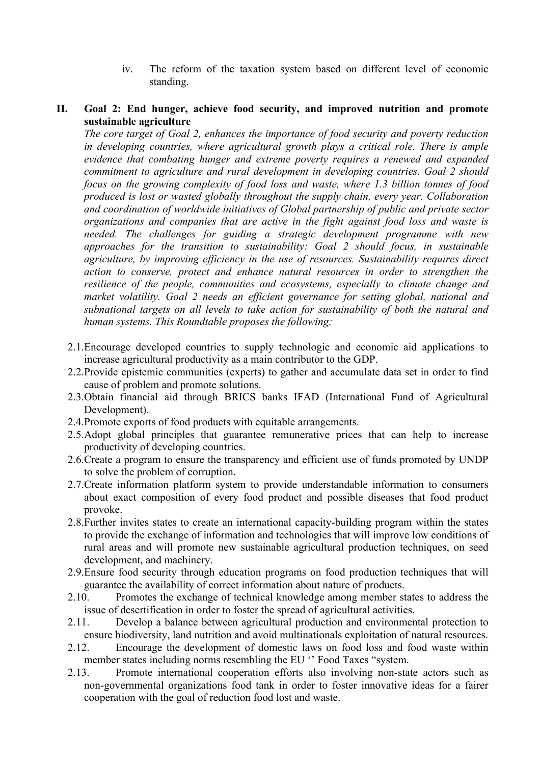iv. The reform of the taxation system based on different level of economic standing.

#### **II. Goal 2: End hunger, achieve food security, and improved nutrition and promote sustainable agriculture**

*The core target of Goal 2, enhances the importance of food security and poverty reduction in developing countries, where agricultural growth plays a critical role. There is ample evidence that combating hunger and extreme poverty requires a renewed and expanded commitment to agriculture and rural development in developing countries. Goal 2 should focus on the growing complexity of food loss and waste, where 1.3 billion tonnes of food produced is lost or wasted globally throughout the supply chain, every year. Collaboration and coordination of worldwide initiatives of Global partnership of public and private sector organizations and companies that are active in the fight against food loss and waste is needed. The challenges for guiding a strategic development programme with new approaches for the transition to sustainability: Goal 2 should focus, in sustainable agriculture, by improving efficiency in the use of resources. Sustainability requires direct action to conserve, protect and enhance natural resources in order to strengthen the resilience of the people, communities and ecosystems, especially to climate change and market volatility. Goal 2 needs an efficient governance for setting global, national and subnational targets on all levels to take action for sustainability of both the natural and human systems. This Roundtable proposes the following:*

- 2.1.Encourage developed countries to supply technologic and economic aid applications to increase agricultural productivity as a main contributor to the GDP.
- 2.2.Provide epistemic communities (experts) to gather and accumulate data set in order to find cause of problem and promote solutions.
- 2.3.Obtain financial aid through BRICS banks IFAD (International Fund of Agricultural Development).
- 2.4.Promote exports of food products with equitable arrangements.
- 2.5.Adopt global principles that guarantee remunerative prices that can help to increase productivity of developing countries.
- 2.6.Create a program to ensure the transparency and efficient use of funds promoted by UNDP to solve the problem of corruption.
- 2.7.Create information platform system to provide understandable information to consumers about exact composition of every food product and possible diseases that food product provoke.
- 2.8.Further invites states to create an international capacity-building program within the states to provide the exchange of information and technologies that will improve low conditions of rural areas and will promote new sustainable agricultural production techniques, on seed development, and machinery.
- 2.9.Ensure food security through education programs on food production techniques that will guarantee the availability of correct information about nature of products.
- 2.10. Promotes the exchange of technical knowledge among member states to address the issue of desertification in order to foster the spread of agricultural activities.
- 2.11. Develop a balance between agricultural production and environmental protection to ensure biodiversity, land nutrition and avoid multinationals exploitation of natural resources.
- 2.12. Encourage the development of domestic laws on food loss and food waste within member states including norms resembling the EU '' Food Taxes "system.
- 2.13. Promote international cooperation efforts also involving non-state actors such as non-governmental organizations food tank in order to foster innovative ideas for a fairer cooperation with the goal of reduction food lost and waste.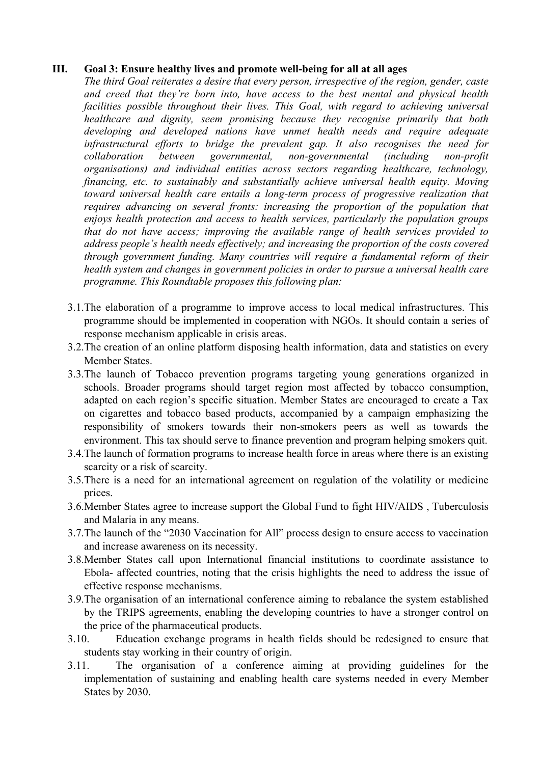#### **III. Goal 3: Ensure healthy lives and promote well-being for all at all ages**

*The third Goal reiterates a desire that every person, irrespective of the region, gender, caste and creed that they're born into, have access to the best mental and physical health facilities possible throughout their lives. This Goal, with regard to achieving universal healthcare and dignity, seem promising because they recognise primarily that both developing and developed nations have unmet health needs and require adequate infrastructural efforts to bridge the prevalent gap. It also recognises the need for collaboration between governmental, non-governmental (including non-profit organisations) and individual entities across sectors regarding healthcare, technology, financing, etc. to sustainably and substantially achieve universal health equity. Moving toward universal health care entails a long-term process of progressive realization that requires advancing on several fronts: increasing the proportion of the population that enjoys health protection and access to health services, particularly the population groups that do not have access; improving the available range of health services provided to address people's health needs effectively; and increasing the proportion of the costs covered through government funding. Many countries will require a fundamental reform of their health system and changes in government policies in order to pursue a universal health care programme. This Roundtable proposes this following plan:*

- 3.1.The elaboration of a programme to improve access to local medical infrastructures. This programme should be implemented in cooperation with NGOs. It should contain a series of response mechanism applicable in crisis areas.
- 3.2.The creation of an online platform disposing health information, data and statistics on every Member States.
- 3.3.The launch of Tobacco prevention programs targeting young generations organized in schools. Broader programs should target region most affected by tobacco consumption, adapted on each region's specific situation. Member States are encouraged to create a Tax on cigarettes and tobacco based products, accompanied by a campaign emphasizing the responsibility of smokers towards their non-smokers peers as well as towards the environment. This tax should serve to finance prevention and program helping smokers quit.
- 3.4.The launch of formation programs to increase health force in areas where there is an existing scarcity or a risk of scarcity.
- 3.5.There is a need for an international agreement on regulation of the volatility or medicine prices.
- 3.6.Member States agree to increase support the Global Fund to fight HIV/AIDS , Tuberculosis and Malaria in any means.
- 3.7.The launch of the "2030 Vaccination for All" process design to ensure access to vaccination and increase awareness on its necessity.
- 3.8.Member States call upon International financial institutions to coordinate assistance to Ebola- affected countries, noting that the crisis highlights the need to address the issue of effective response mechanisms.
- 3.9.The organisation of an international conference aiming to rebalance the system established by the TRIPS agreements, enabling the developing countries to have a stronger control on the price of the pharmaceutical products.
- 3.10. Education exchange programs in health fields should be redesigned to ensure that students stay working in their country of origin.
- 3.11. The organisation of a conference aiming at providing guidelines for the implementation of sustaining and enabling health care systems needed in every Member States by 2030.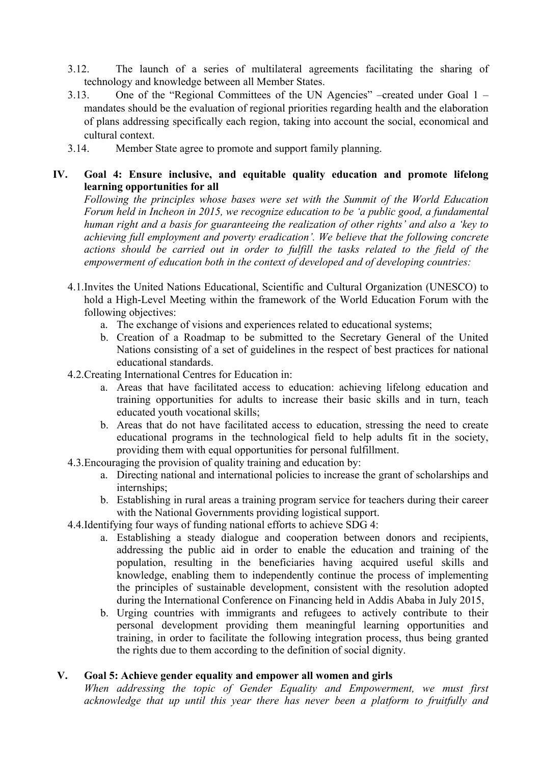- 3.12. The launch of a series of multilateral agreements facilitating the sharing of technology and knowledge between all Member States.
- 3.13. One of the "Regional Committees of the UN Agencies" –created under Goal 1 mandates should be the evaluation of regional priorities regarding health and the elaboration of plans addressing specifically each region, taking into account the social, economical and cultural context.
- 3.14. Member State agree to promote and support family planning.

#### **IV. Goal 4: Ensure inclusive, and equitable quality education and promote lifelong learning opportunities for all**

*Following the principles whose bases were set with the Summit of the World Education Forum held in Incheon in 2015, we recognize education to be 'a public good, a fundamental human right and a basis for guaranteeing the realization of other rights' and also a 'key to achieving full employment and poverty eradication'. We believe that the following concrete actions should be carried out in order to fulfill the tasks related to the field of the empowerment of education both in the context of developed and of developing countries:*

- 4.1.Invites the United Nations Educational, Scientific and Cultural Organization (UNESCO) to hold a High-Level Meeting within the framework of the World Education Forum with the following objectives:
	- a. The exchange of visions and experiences related to educational systems;
	- b. Creation of a Roadmap to be submitted to the Secretary General of the United Nations consisting of a set of guidelines in the respect of best practices for national educational standards.
- 4.2.Creating International Centres for Education in:
	- a. Areas that have facilitated access to education: achieving lifelong education and training opportunities for adults to increase their basic skills and in turn, teach educated youth vocational skills;
	- b. Areas that do not have facilitated access to education, stressing the need to create educational programs in the technological field to help adults fit in the society, providing them with equal opportunities for personal fulfillment.
- 4.3.Encouraging the provision of quality training and education by:
	- a. Directing national and international policies to increase the grant of scholarships and internships;
	- b. Establishing in rural areas a training program service for teachers during their career with the National Governments providing logistical support.
- 4.4.Identifying four ways of funding national efforts to achieve SDG 4:
	- a. Establishing a steady dialogue and cooperation between donors and recipients, addressing the public aid in order to enable the education and training of the population, resulting in the beneficiaries having acquired useful skills and knowledge, enabling them to independently continue the process of implementing the principles of sustainable development, consistent with the resolution adopted during the International Conference on Financing held in Addis Ababa in July 2015,
	- b. Urging countries with immigrants and refugees to actively contribute to their personal development providing them meaningful learning opportunities and training, in order to facilitate the following integration process, thus being granted the rights due to them according to the definition of social dignity.

#### **V. Goal 5: Achieve gender equality and empower all women and girls**

*When addressing the topic of Gender Equality and Empowerment, we must first acknowledge that up until this year there has never been a platform to fruitfully and*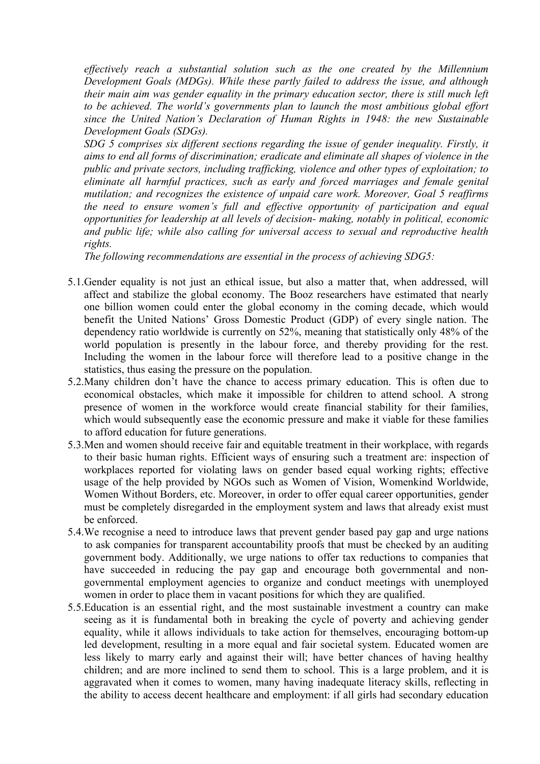*effectively reach a substantial solution such as the one created by the Millennium Development Goals (MDGs). While these partly failed to address the issue, and although their main aim was gender equality in the primary education sector, there is still much left to be achieved. The world's governments plan to launch the most ambitious global effort since the United Nation's Declaration of Human Rights in 1948: the new Sustainable Development Goals (SDGs).*

*SDG 5 comprises six different sections regarding the issue of gender inequality. Firstly, it aims to end all forms of discrimination; eradicate and eliminate all shapes of violence in the public and private sectors, including trafficking, violence and other types of exploitation; to eliminate all harmful practices, such as early and forced marriages and female genital mutilation; and recognizes the existence of unpaid care work. Moreover, Goal 5 reaffirms the need to ensure women's full and effective opportunity of participation and equal opportunities for leadership at all levels of decision- making, notably in political, economic and public life; while also calling for universal access to sexual and reproductive health rights.* 

*The following recommendations are essential in the process of achieving SDG5:*

- 5.1.Gender equality is not just an ethical issue, but also a matter that, when addressed, will affect and stabilize the global economy. The Booz researchers have estimated that nearly one billion women could enter the global economy in the coming decade, which would benefit the United Nations' Gross Domestic Product (GDP) of every single nation. The dependency ratio worldwide is currently on 52%, meaning that statistically only 48% of the world population is presently in the labour force, and thereby providing for the rest. Including the women in the labour force will therefore lead to a positive change in the statistics, thus easing the pressure on the population.
- 5.2.Many children don't have the chance to access primary education. This is often due to economical obstacles, which make it impossible for children to attend school. A strong presence of women in the workforce would create financial stability for their families, which would subsequently ease the economic pressure and make it viable for these families to afford education for future generations.
- 5.3.Men and women should receive fair and equitable treatment in their workplace, with regards to their basic human rights. Efficient ways of ensuring such a treatment are: inspection of workplaces reported for violating laws on gender based equal working rights; effective usage of the help provided by NGOs such as Women of Vision, Womenkind Worldwide, Women Without Borders, etc. Moreover, in order to offer equal career opportunities, gender must be completely disregarded in the employment system and laws that already exist must be enforced.
- 5.4.We recognise a need to introduce laws that prevent gender based pay gap and urge nations to ask companies for transparent accountability proofs that must be checked by an auditing government body. Additionally, we urge nations to offer tax reductions to companies that have succeeded in reducing the pay gap and encourage both governmental and nongovernmental employment agencies to organize and conduct meetings with unemployed women in order to place them in vacant positions for which they are qualified.
- 5.5.Education is an essential right, and the most sustainable investment a country can make seeing as it is fundamental both in breaking the cycle of poverty and achieving gender equality, while it allows individuals to take action for themselves, encouraging bottom-up led development, resulting in a more equal and fair societal system. Educated women are less likely to marry early and against their will; have better chances of having healthy children; and are more inclined to send them to school. This is a large problem, and it is aggravated when it comes to women, many having inadequate literacy skills, reflecting in the ability to access decent healthcare and employment: if all girls had secondary education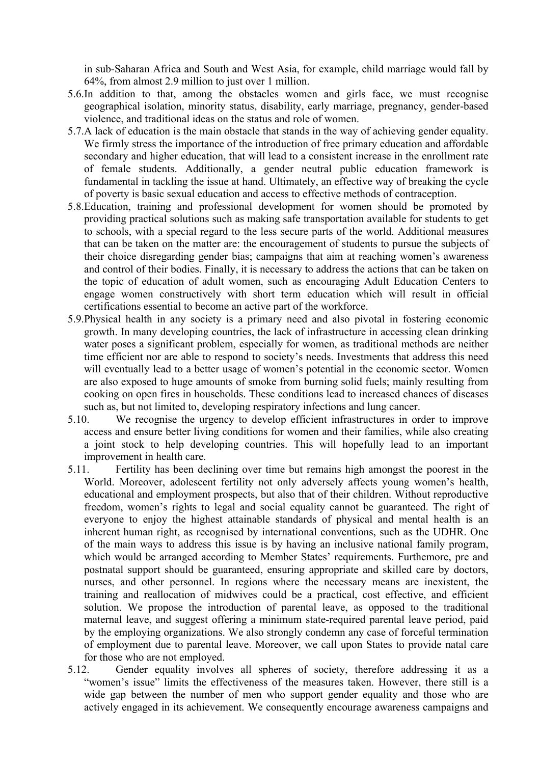in sub-Saharan Africa and South and West Asia, for example, child marriage would fall by 64%, from almost 2.9 million to just over 1 million.

- 5.6.In addition to that, among the obstacles women and girls face, we must recognise geographical isolation, minority status, disability, early marriage, pregnancy, gender-based violence, and traditional ideas on the status and role of women.
- 5.7.A lack of education is the main obstacle that stands in the way of achieving gender equality. We firmly stress the importance of the introduction of free primary education and affordable secondary and higher education, that will lead to a consistent increase in the enrollment rate of female students. Additionally, a gender neutral public education framework is fundamental in tackling the issue at hand. Ultimately, an effective way of breaking the cycle of poverty is basic sexual education and access to effective methods of contraception.
- 5.8.Education, training and professional development for women should be promoted by providing practical solutions such as making safe transportation available for students to get to schools, with a special regard to the less secure parts of the world. Additional measures that can be taken on the matter are: the encouragement of students to pursue the subjects of their choice disregarding gender bias; campaigns that aim at reaching women's awareness and control of their bodies. Finally, it is necessary to address the actions that can be taken on the topic of education of adult women, such as encouraging Adult Education Centers to engage women constructively with short term education which will result in official certifications essential to become an active part of the workforce.
- 5.9.Physical health in any society is a primary need and also pivotal in fostering economic growth. In many developing countries, the lack of infrastructure in accessing clean drinking water poses a significant problem, especially for women, as traditional methods are neither time efficient nor are able to respond to society's needs. Investments that address this need will eventually lead to a better usage of women's potential in the economic sector. Women are also exposed to huge amounts of smoke from burning solid fuels; mainly resulting from cooking on open fires in households. These conditions lead to increased chances of diseases such as, but not limited to, developing respiratory infections and lung cancer.
- 5.10. We recognise the urgency to develop efficient infrastructures in order to improve access and ensure better living conditions for women and their families, while also creating a joint stock to help developing countries. This will hopefully lead to an important improvement in health care.
- 5.11. Fertility has been declining over time but remains high amongst the poorest in the World. Moreover, adolescent fertility not only adversely affects young women's health, educational and employment prospects, but also that of their children. Without reproductive freedom, women's rights to legal and social equality cannot be guaranteed. The right of everyone to enjoy the highest attainable standards of physical and mental health is an inherent human right, as recognised by international conventions, such as the UDHR. One of the main ways to address this issue is by having an inclusive national family program, which would be arranged according to Member States' requirements. Furthemore, pre and postnatal support should be guaranteed, ensuring appropriate and skilled care by doctors, nurses, and other personnel. In regions where the necessary means are inexistent, the training and reallocation of midwives could be a practical, cost effective, and efficient solution. We propose the introduction of parental leave, as opposed to the traditional maternal leave, and suggest offering a minimum state-required parental leave period, paid by the employing organizations. We also strongly condemn any case of forceful termination of employment due to parental leave. Moreover, we call upon States to provide natal care for those who are not employed.
- 5.12. Gender equality involves all spheres of society, therefore addressing it as a "women's issue" limits the effectiveness of the measures taken. However, there still is a wide gap between the number of men who support gender equality and those who are actively engaged in its achievement. We consequently encourage awareness campaigns and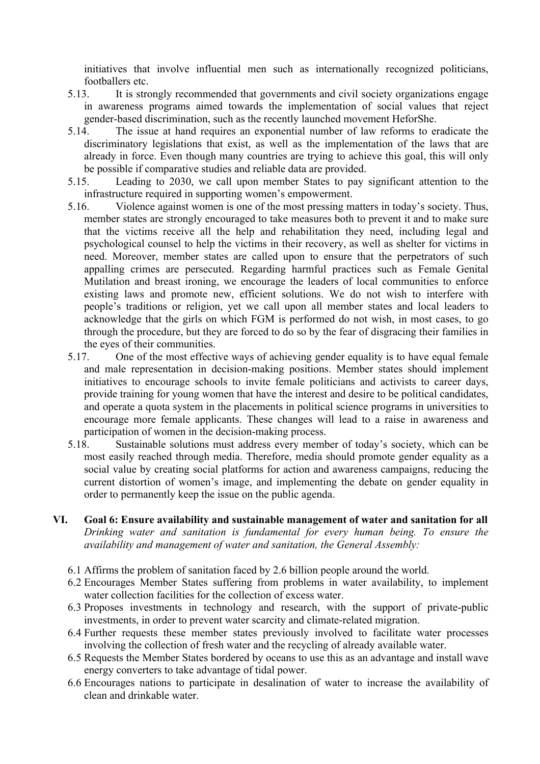initiatives that involve influential men such as internationally recognized politicians, footballers etc.

- 5.13. It is strongly recommended that governments and civil society organizations engage in awareness programs aimed towards the implementation of social values that reject gender-based discrimination, such as the recently launched movement HeforShe.
- 5.14. The issue at hand requires an exponential number of law reforms to eradicate the discriminatory legislations that exist, as well as the implementation of the laws that are already in force. Even though many countries are trying to achieve this goal, this will only be possible if comparative studies and reliable data are provided.
- 5.15. Leading to 2030, we call upon member States to pay significant attention to the infrastructure required in supporting women's empowerment.
- 5.16. Violence against women is one of the most pressing matters in today's society. Thus, member states are strongly encouraged to take measures both to prevent it and to make sure that the victims receive all the help and rehabilitation they need, including legal and psychological counsel to help the victims in their recovery, as well as shelter for victims in need. Moreover, member states are called upon to ensure that the perpetrators of such appalling crimes are persecuted. Regarding harmful practices such as Female Genital Mutilation and breast ironing, we encourage the leaders of local communities to enforce existing laws and promote new, efficient solutions. We do not wish to interfere with people's traditions or religion, yet we call upon all member states and local leaders to acknowledge that the girls on which FGM is performed do not wish, in most cases, to go through the procedure, but they are forced to do so by the fear of disgracing their families in the eyes of their communities.
- 5.17. One of the most effective ways of achieving gender equality is to have equal female and male representation in decision-making positions. Member states should implement initiatives to encourage schools to invite female politicians and activists to career days, provide training for young women that have the interest and desire to be political candidates, and operate a quota system in the placements in political science programs in universities to encourage more female applicants. These changes will lead to a raise in awareness and participation of women in the decision-making process.
- 5.18. Sustainable solutions must address every member of today's society, which can be most easily reached through media. Therefore, media should promote gender equality as a social value by creating social platforms for action and awareness campaigns, reducing the current distortion of women's image, and implementing the debate on gender equality in order to permanently keep the issue on the public agenda.
- **VI. Goal 6: Ensure availability and sustainable management of water and sanitation for all**  *Drinking water and sanitation is fundamental for every human being. To ensure the availability and management of water and sanitation, the General Assembly:*
	- 6.1 Affirms the problem of sanitation faced by 2.6 billion people around the world.
	- 6.2 Encourages Member States suffering from problems in water availability, to implement water collection facilities for the collection of excess water.
	- 6.3 Proposes investments in technology and research, with the support of private-public investments, in order to prevent water scarcity and climate-related migration.
	- 6.4 Further requests these member states previously involved to facilitate water processes involving the collection of fresh water and the recycling of already available water.
	- 6.5 Requests the Member States bordered by oceans to use this as an advantage and install wave energy converters to take advantage of tidal power.
	- 6.6 Encourages nations to participate in desalination of water to increase the availability of clean and drinkable water.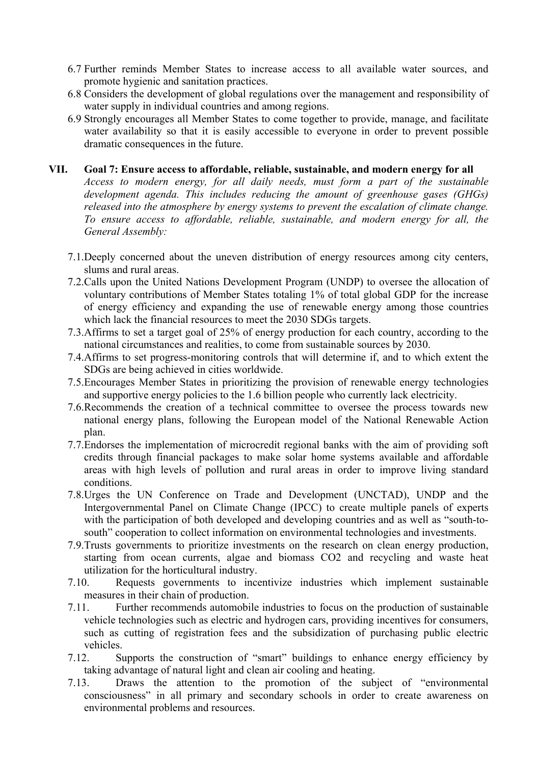- 6.7 Further reminds Member States to increase access to all available water sources, and promote hygienic and sanitation practices.
- 6.8 Considers the development of global regulations over the management and responsibility of water supply in individual countries and among regions.
- 6.9 Strongly encourages all Member States to come together to provide, manage, and facilitate water availability so that it is easily accessible to everyone in order to prevent possible dramatic consequences in the future.

#### **VII. Goal 7: Ensure access to affordable, reliable, sustainable, and modern energy for all**

*Access to modern energy, for all daily needs, must form a part of the sustainable development agenda. This includes reducing the amount of greenhouse gases (GHGs) released into the atmosphere by energy systems to prevent the escalation of climate change. To ensure access to affordable, reliable, sustainable, and modern energy for all, the General Assembly:*

- 7.1.Deeply concerned about the uneven distribution of energy resources among city centers, slums and rural areas.
- 7.2.Calls upon the United Nations Development Program (UNDP) to oversee the allocation of voluntary contributions of Member States totaling 1% of total global GDP for the increase of energy efficiency and expanding the use of renewable energy among those countries which lack the financial resources to meet the 2030 SDGs targets.
- 7.3.Affirms to set a target goal of 25% of energy production for each country, according to the national circumstances and realities, to come from sustainable sources by 2030.
- 7.4.Affirms to set progress-monitoring controls that will determine if, and to which extent the SDGs are being achieved in cities worldwide.
- 7.5.Encourages Member States in prioritizing the provision of renewable energy technologies and supportive energy policies to the 1.6 billion people who currently lack electricity.
- 7.6.Recommends the creation of a technical committee to oversee the process towards new national energy plans, following the European model of the National Renewable Action plan.
- 7.7.Endorses the implementation of microcredit regional banks with the aim of providing soft credits through financial packages to make solar home systems available and affordable areas with high levels of pollution and rural areas in order to improve living standard conditions.
- 7.8.Urges the UN Conference on Trade and Development (UNCTAD), UNDP and the Intergovernmental Panel on Climate Change (IPCC) to create multiple panels of experts with the participation of both developed and developing countries and as well as "south-tosouth" cooperation to collect information on environmental technologies and investments.
- 7.9.Trusts governments to prioritize investments on the research on clean energy production, starting from ocean currents, algae and biomass CO2 and recycling and waste heat utilization for the horticultural industry.
- 7.10. Requests governments to incentivize industries which implement sustainable measures in their chain of production.
- 7.11. Further recommends automobile industries to focus on the production of sustainable vehicle technologies such as electric and hydrogen cars, providing incentives for consumers, such as cutting of registration fees and the subsidization of purchasing public electric vehicles.
- 7.12. Supports the construction of "smart" buildings to enhance energy efficiency by taking advantage of natural light and clean air cooling and heating.
- 7.13. Draws the attention to the promotion of the subject of "environmental consciousness" in all primary and secondary schools in order to create awareness on environmental problems and resources.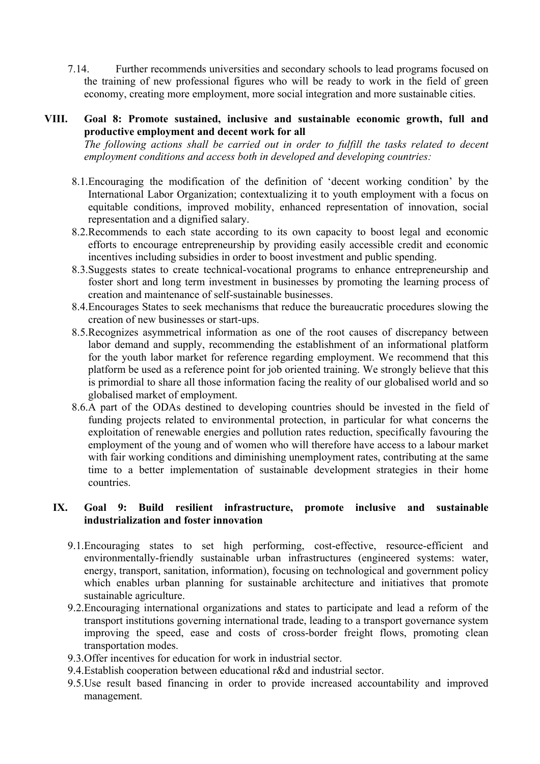7.14. Further recommends universities and secondary schools to lead programs focused on the training of new professional figures who will be ready to work in the field of green economy, creating more employment, more social integration and more sustainable cities.

#### **VIII. Goal 8: Promote sustained, inclusive and sustainable economic growth, full and productive employment and decent work for all**

*The following actions shall be carried out in order to fulfill the tasks related to decent employment conditions and access both in developed and developing countries:*

- 8.1.Encouraging the modification of the definition of 'decent working condition' by the International Labor Organization; contextualizing it to youth employment with a focus on equitable conditions, improved mobility, enhanced representation of innovation, social representation and a dignified salary.
- 8.2.Recommends to each state according to its own capacity to boost legal and economic efforts to encourage entrepreneurship by providing easily accessible credit and economic incentives including subsidies in order to boost investment and public spending.
- 8.3.Suggests states to create technical-vocational programs to enhance entrepreneurship and foster short and long term investment in businesses by promoting the learning process of creation and maintenance of self-sustainable businesses.
- 8.4.Encourages States to seek mechanisms that reduce the bureaucratic procedures slowing the creation of new businesses or start-ups.
- 8.5.Recognizes asymmetrical information as one of the root causes of discrepancy between labor demand and supply, recommending the establishment of an informational platform for the youth labor market for reference regarding employment. We recommend that this platform be used as a reference point for job oriented training. We strongly believe that this is primordial to share all those information facing the reality of our globalised world and so globalised market of employment.
- 8.6.A part of the ODAs destined to developing countries should be invested in the field of funding projects related to environmental protection, in particular for what concerns the exploitation of renewable energies and pollution rates reduction, specifically favouring the employment of the young and of women who will therefore have access to a labour market with fair working conditions and diminishing unemployment rates, contributing at the same time to a better implementation of sustainable development strategies in their home countries.

#### **IX. Goal 9: Build resilient infrastructure, promote inclusive and sustainable industrialization and foster innovation**

- 9.1.Encouraging states to set high performing, cost-effective, resource-efficient and environmentally-friendly sustainable urban infrastructures (engineered systems: water, energy, transport, sanitation, information), focusing on technological and government policy which enables urban planning for sustainable architecture and initiatives that promote sustainable agriculture.
- 9.2.Encouraging international organizations and states to participate and lead a reform of the transport institutions governing international trade, leading to a transport governance system improving the speed, ease and costs of cross-border freight flows, promoting clean transportation modes.
- 9.3.Offer incentives for education for work in industrial sector.
- 9.4.Establish cooperation between educational r&d and industrial sector.
- 9.5.Use result based financing in order to provide increased accountability and improved management.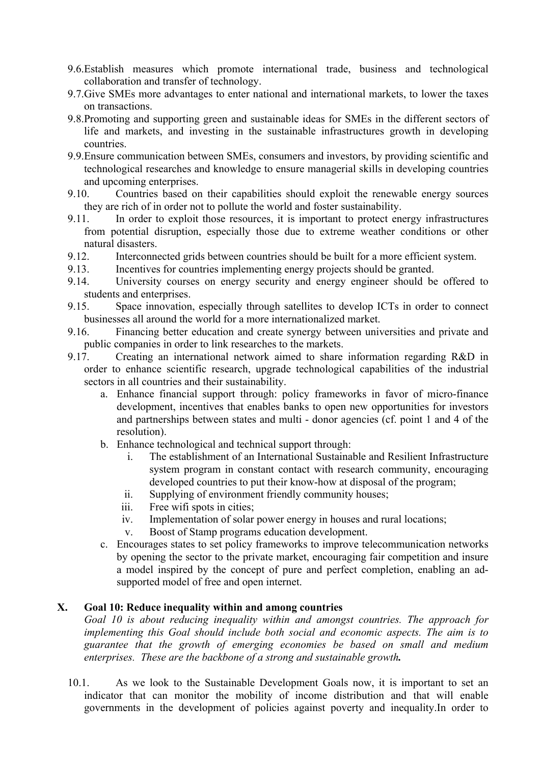- 9.6.Establish measures which promote international trade, business and technological collaboration and transfer of technology.
- 9.7.Give SMEs more advantages to enter national and international markets, to lower the taxes on transactions.
- 9.8.Promoting and supporting green and sustainable ideas for SMEs in the different sectors of life and markets, and investing in the sustainable infrastructures growth in developing countries.
- 9.9.Ensure communication between SMEs, consumers and investors, by providing scientific and technological researches and knowledge to ensure managerial skills in developing countries and upcoming enterprises.
- 9.10. Countries based on their capabilities should exploit the renewable energy sources they are rich of in order not to pollute the world and foster sustainability.
- 9.11. In order to exploit those resources, it is important to protect energy infrastructures from potential disruption, especially those due to extreme weather conditions or other natural disasters.
- 9.12. Interconnected grids between countries should be built for a more efficient system.
- 9.13. Incentives for countries implementing energy projects should be granted.
- 9.14. University courses on energy security and energy engineer should be offered to students and enterprises.
- 9.15. Space innovation, especially through satellites to develop ICTs in order to connect businesses all around the world for a more internationalized market.
- 9.16. Financing better education and create synergy between universities and private and public companies in order to link researches to the markets.
- 9.17. Creating an international network aimed to share information regarding R&D in order to enhance scientific research, upgrade technological capabilities of the industrial sectors in all countries and their sustainability.
	- a. Enhance financial support through: policy frameworks in favor of micro-finance development, incentives that enables banks to open new opportunities for investors and partnerships between states and multi - donor agencies (cf. point 1 and 4 of the resolution).
	- b. Enhance technological and technical support through:
		- i. The establishment of an International Sustainable and Resilient Infrastructure system program in constant contact with research community, encouraging developed countries to put their know-how at disposal of the program;
		- ii. Supplying of environment friendly community houses;
		- iii. Free wifi spots in cities;
		- iv. Implementation of solar power energy in houses and rural locations;
		- v. Boost of Stamp programs education development.
	- c. Encourages states to set policy frameworks to improve telecommunication networks by opening the sector to the private market, encouraging fair competition and insure a model inspired by the concept of pure and perfect completion, enabling an adsupported model of free and open internet.

#### **X. Goal 10: Reduce inequality within and among countries**

*Goal 10 is about reducing inequality within and amongst countries. The approach for implementing this Goal should include both social and economic aspects. The aim is to guarantee that the growth of emerging economies be based on small and medium enterprises. These are the backbone of a strong and sustainable growth.*

10.1. As we look to the Sustainable Development Goals now, it is important to set an indicator that can monitor the mobility of income distribution and that will enable governments in the development of policies against poverty and inequality.In order to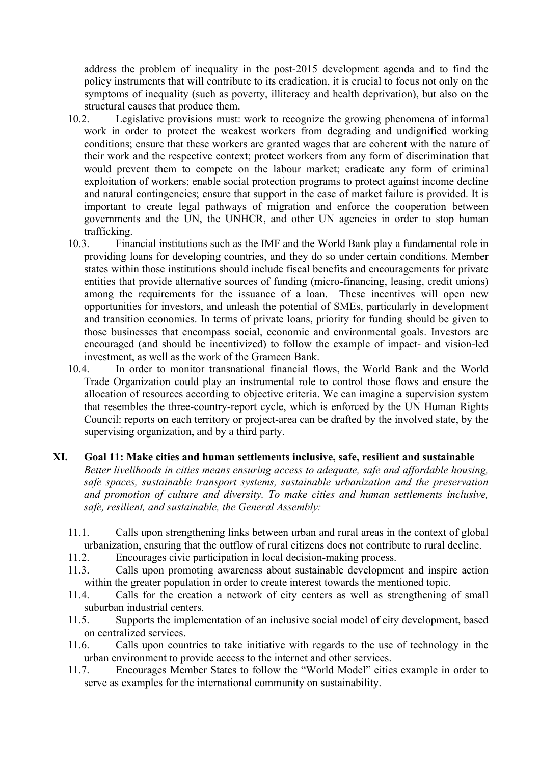address the problem of inequality in the post-2015 development agenda and to find the policy instruments that will contribute to its eradication, it is crucial to focus not only on the symptoms of inequality (such as poverty, illiteracy and health deprivation), but also on the structural causes that produce them.

- 10.2. Legislative provisions must: work to recognize the growing phenomena of informal work in order to protect the weakest workers from degrading and undignified working conditions; ensure that these workers are granted wages that are coherent with the nature of their work and the respective context; protect workers from any form of discrimination that would prevent them to compete on the labour market; eradicate any form of criminal exploitation of workers; enable social protection programs to protect against income decline and natural contingencies; ensure that support in the case of market failure is provided. It is important to create legal pathways of migration and enforce the cooperation between governments and the UN, the UNHCR, and other UN agencies in order to stop human trafficking.
- 10.3. Financial institutions such as the IMF and the World Bank play a fundamental role in providing loans for developing countries, and they do so under certain conditions. Member states within those institutions should include fiscal benefits and encouragements for private entities that provide alternative sources of funding (micro-financing, leasing, credit unions) among the requirements for the issuance of a loan. These incentives will open new opportunities for investors, and unleash the potential of SMEs, particularly in development and transition economies. In terms of private loans, priority for funding should be given to those businesses that encompass social, economic and environmental goals. Investors are encouraged (and should be incentivized) to follow the example of impact- and vision-led investment, as well as the work of the Grameen Bank.
- 10.4. In order to monitor transnational financial flows, the World Bank and the World Trade Organization could play an instrumental role to control those flows and ensure the allocation of resources according to objective criteria. We can imagine a supervision system that resembles the three-country-report cycle, which is enforced by the UN Human Rights Council: reports on each territory or project-area can be drafted by the involved state, by the supervising organization, and by a third party.

#### **XI. Goal 11: Make cities and human settlements inclusive, safe, resilient and sustainable**

*Better livelihoods in cities means ensuring access to adequate, safe and affordable housing, safe spaces, sustainable transport systems, sustainable urbanization and the preservation and promotion of culture and diversity. To make cities and human settlements inclusive, safe, resilient, and sustainable, the General Assembly:*

- 11.1. Calls upon strengthening links between urban and rural areas in the context of global urbanization, ensuring that the outflow of rural citizens does not contribute to rural decline.
- 11.2. Encourages civic participation in local decision-making process.
- 11.3. Calls upon promoting awareness about sustainable development and inspire action within the greater population in order to create interest towards the mentioned topic.
- 11.4. Calls for the creation a network of city centers as well as strengthening of small suburban industrial centers.
- 11.5. Supports the implementation of an inclusive social model of city development, based on centralized services.
- 11.6. Calls upon countries to take initiative with regards to the use of technology in the urban environment to provide access to the internet and other services.
- 11.7. Encourages Member States to follow the "World Model" cities example in order to serve as examples for the international community on sustainability.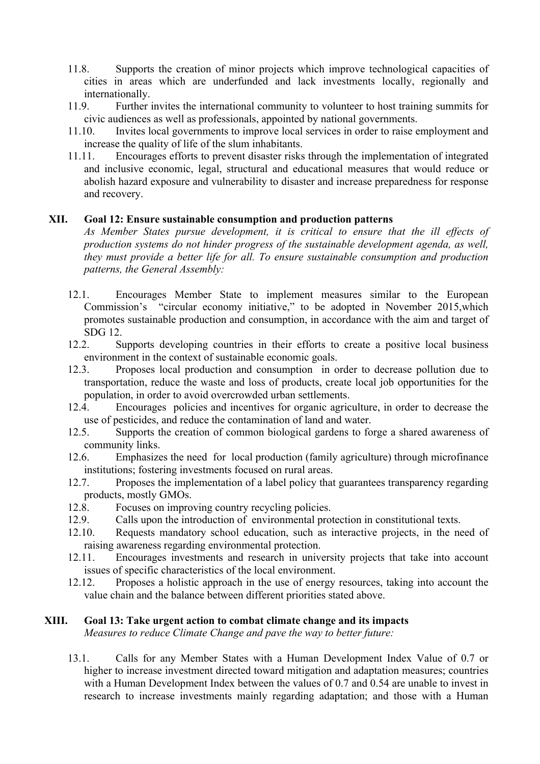- 11.8. Supports the creation of minor projects which improve technological capacities of cities in areas which are underfunded and lack investments locally, regionally and internationally.
- 11.9. Further invites the international community to volunteer to host training summits for civic audiences as well as professionals, appointed by national governments.
- 11.10. Invites local governments to improve local services in order to raise employment and increase the quality of life of the slum inhabitants.
- 11.11. Encourages efforts to prevent disaster risks through the implementation of integrated and inclusive economic, legal, structural and educational measures that would reduce or abolish hazard exposure and vulnerability to disaster and increase preparedness for response and recovery.

#### **XII. Goal 12: Ensure sustainable consumption and production patterns**

*As Member States pursue development, it is critical to ensure that the ill effects of production systems do not hinder progress of the sustainable development agenda, as well, they must provide a better life for all. To ensure sustainable consumption and production patterns, the General Assembly:*

- 12.1. Encourages Member State to implement measures similar to the European Commission's "circular economy initiative," to be adopted in November 2015,which promotes sustainable production and consumption, in accordance with the aim and target of SDG 12.
- 12.2. Supports developing countries in their efforts to create a positive local business environment in the context of sustainable economic goals.
- 12.3. Proposes local production and consumption in order to decrease pollution due to transportation, reduce the waste and loss of products, create local job opportunities for the population, in order to avoid overcrowded urban settlements.
- 12.4. Encourages policies and incentives for organic agriculture, in order to decrease the use of pesticides, and reduce the contamination of land and water.
- 12.5. Supports the creation of common biological gardens to forge a shared awareness of community links.
- 12.6. Emphasizes the need for local production (family agriculture) through microfinance institutions; fostering investments focused on rural areas.
- 12.7. Proposes the implementation of a label policy that guarantees transparency regarding products, mostly GMOs.
- 12.8. Focuses on improving country recycling policies.
- 12.9. Calls upon the introduction of environmental protection in constitutional texts.
- 12.10. Requests mandatory school education, such as interactive projects, in the need of raising awareness regarding environmental protection.
- 12.11. Encourages investments and research in university projects that take into account issues of specific characteristics of the local environment.
- 12.12. Proposes a holistic approach in the use of energy resources, taking into account the value chain and the balance between different priorities stated above.

#### **XIII. Goal 13: Take urgent action to combat climate change and its impacts**

*Measures to reduce Climate Change and pave the way to better future:*

13.1. Calls for any Member States with a Human Development Index Value of 0.7 or higher to increase investment directed toward mitigation and adaptation measures; countries with a Human Development Index between the values of 0.7 and 0.54 are unable to invest in research to increase investments mainly regarding adaptation; and those with a Human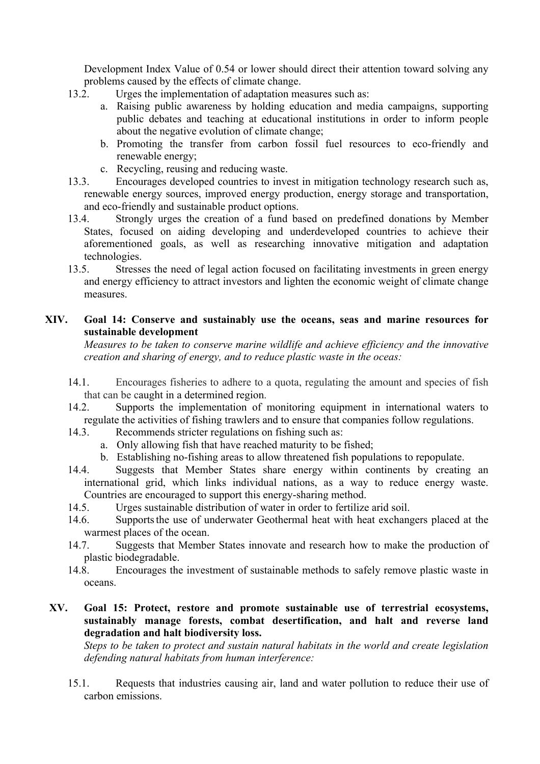Development Index Value of 0.54 or lower should direct their attention toward solving any problems caused by the effects of climate change.

- 13.2. Urges the implementation of adaptation measures such as:
	- a. Raising public awareness by holding education and media campaigns, supporting public debates and teaching at educational institutions in order to inform people about the negative evolution of climate change;
	- b. Promoting the transfer from carbon fossil fuel resources to eco-friendly and renewable energy;
	- c. Recycling, reusing and reducing waste.
- 13.3. Encourages developed countries to invest in mitigation technology research such as, renewable energy sources, improved energy production, energy storage and transportation, and eco-friendly and sustainable product options.
- 13.4. Strongly urges the creation of a fund based on predefined donations by Member States, focused on aiding developing and underdeveloped countries to achieve their aforementioned goals, as well as researching innovative mitigation and adaptation technologies.
- 13.5. Stresses the need of legal action focused on facilitating investments in green energy and energy efficiency to attract investors and lighten the economic weight of climate change measures.

#### **XIV. Goal 14: Conserve and sustainably use the oceans, seas and marine resources for sustainable development**

*Measures to be taken to conserve marine wildlife and achieve efficiency and the innovative creation and sharing of energy, and to reduce plastic waste in the oceas:*

- 14.1. Encourages fisheries to adhere to a quota, regulating the amount and species of fish that can be caught in a determined region.
- 14.2. Supports the implementation of monitoring equipment in international waters to regulate the activities of fishing trawlers and to ensure that companies follow regulations.
- 14.3. Recommends stricter regulations on fishing such as:
	- a. Only allowing fish that have reached maturity to be fished;
	- b. Establishing no-fishing areas to allow threatened fish populations to repopulate.
- 14.4. Suggests that Member States share energy within continents by creating an international grid, which links individual nations, as a way to reduce energy waste. Countries are encouraged to support this energy-sharing method.
- 14.5. Urges sustainable distribution of water in order to fertilize arid soil.
- 14.6. Supports the use of underwater Geothermal heat with heat exchangers placed at the warmest places of the ocean.
- 14.7. Suggests that Member States innovate and research how to make the production of plastic biodegradable.
- 14.8. Encourages the investment of sustainable methods to safely remove plastic waste in oceans.

#### **XV. Goal 15: Protect, restore and promote sustainable use of terrestrial ecosystems, sustainably manage forests, combat desertification, and halt and reverse land degradation and halt biodiversity loss.**

*Steps to be taken to protect and sustain natural habitats in the world and create legislation defending natural habitats from human interference:*

15.1. Requests that industries causing air, land and water pollution to reduce their use of carbon emissions.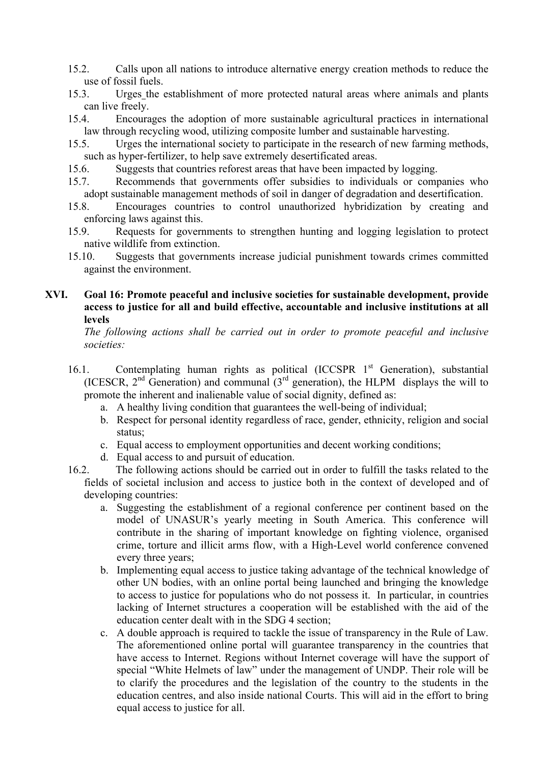- 15.2. Calls upon all nations to introduce alternative energy creation methods to reduce the use of fossil fuels.
- 15.3. Urges the establishment of more protected natural areas where animals and plants can live freely.
- 15.4. Encourages the adoption of more sustainable agricultural practices in international law through recycling wood, utilizing composite lumber and sustainable harvesting.
- 15.5. Urges the international society to participate in the research of new farming methods, such as hyper-fertilizer, to help save extremely desertificated areas.
- 15.6. Suggests that countries reforest areas that have been impacted by logging.
- 15.7. Recommends that governments offer subsidies to individuals or companies who adopt sustainable management methods of soil in danger of degradation and desertification.
- 15.8. Encourages countries to control unauthorized hybridization by creating and enforcing laws against this.
- 15.9. Requests for governments to strengthen hunting and logging legislation to protect native wildlife from extinction.
- 15.10. Suggests that governments increase judicial punishment towards crimes committed against the environment.

#### **XVI. Goal 16: Promote peaceful and inclusive societies for sustainable development, provide access to justice for all and build effective, accountable and inclusive institutions at all levels**

*The following actions shall be carried out in order to promote peaceful and inclusive societies:*

- 16.1. Contemplating human rights as political (ICCSPR 1<sup>st</sup> Generation), substantial (ICESCR,  $2<sup>nd</sup>$  Generation) and communal  $(3<sup>rd</sup>$  generation), the HLPM displays the will to promote the inherent and inalienable value of social dignity, defined as:
	- a. A healthy living condition that guarantees the well-being of individual;
	- b. Respect for personal identity regardless of race, gender, ethnicity, religion and social status;
	- c. Equal access to employment opportunities and decent working conditions;
	- d. Equal access to and pursuit of education.
- 16.2. The following actions should be carried out in order to fulfill the tasks related to the fields of societal inclusion and access to justice both in the context of developed and of developing countries:
	- a. Suggesting the establishment of a regional conference per continent based on the model of UNASUR's yearly meeting in South America. This conference will contribute in the sharing of important knowledge on fighting violence, organised crime, torture and illicit arms flow, with a High-Level world conference convened every three years;
	- b. Implementing equal access to justice taking advantage of the technical knowledge of other UN bodies, with an online portal being launched and bringing the knowledge to access to justice for populations who do not possess it. In particular, in countries lacking of Internet structures a cooperation will be established with the aid of the education center dealt with in the SDG 4 section;
	- c. A double approach is required to tackle the issue of transparency in the Rule of Law. The aforementioned online portal will guarantee transparency in the countries that have access to Internet. Regions without Internet coverage will have the support of special "White Helmets of law" under the management of UNDP. Their role will be to clarify the procedures and the legislation of the country to the students in the education centres, and also inside national Courts. This will aid in the effort to bring equal access to justice for all.